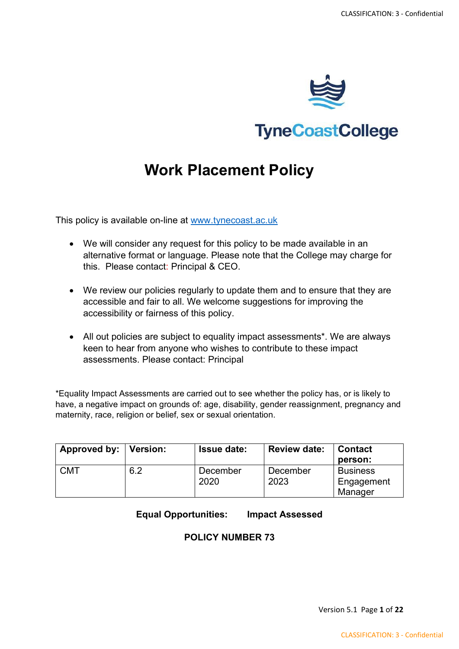

**TyneCoastCollege** 

# **Work Placement Policy**

This policy is available on-line at [www.tynecoast.ac.uk](http://www.tynecoast.ac.uk/)

- We will consider any request for this policy to be made available in an alternative format or language. Please note that the College may charge for this. Please contact: Principal & CEO.
- We review our policies regularly to update them and to ensure that they are accessible and fair to all. We welcome suggestions for improving the accessibility or fairness of this policy.
- All out policies are subject to equality impact assessments\*. We are always keen to hear from anyone who wishes to contribute to these impact assessments. Please contact: Principal

\*Equality Impact Assessments are carried out to see whether the policy has, or is likely to have, a negative impact on grounds of: age, disability, gender reassignment, pregnancy and maternity, race, religion or belief, sex or sexual orientation.

| Approved by:   Version: |     | <b>Issue date:</b> | <b>Review date:</b> | <b>Contact</b><br>person:                |
|-------------------------|-----|--------------------|---------------------|------------------------------------------|
| <b>CMT</b>              | 6.2 | December<br>2020   | December<br>2023    | <b>Business</b><br>Engagement<br>Manager |

**Equal Opportunities: Impact Assessed**

# **POLICY NUMBER 73**

Version 5.1 Page **1** of **22**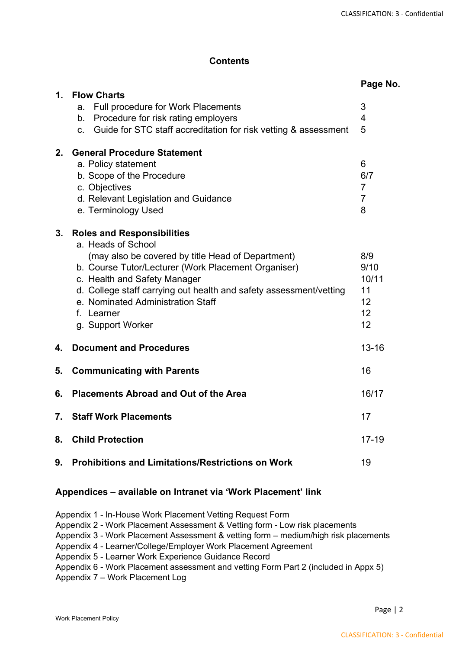# **Contents**

|               |                                                                                                                                                                                                                                                                                                                                                   | Page No.                                          |
|---------------|---------------------------------------------------------------------------------------------------------------------------------------------------------------------------------------------------------------------------------------------------------------------------------------------------------------------------------------------------|---------------------------------------------------|
| $\mathbf 1$ . | <b>Flow Charts</b><br>Full procedure for Work Placements<br>a.<br>Procedure for risk rating employers<br>b.<br>Guide for STC staff accreditation for risk vetting & assessment<br>С.                                                                                                                                                              | 3<br>$\overline{4}$<br>5                          |
| $2_{-}$       | <b>General Procedure Statement</b><br>a. Policy statement<br>b. Scope of the Procedure<br>c. Objectives<br>d. Relevant Legislation and Guidance<br>e. Terminology Used                                                                                                                                                                            | 6<br>6/7<br>$\overline{7}$<br>$\overline{7}$<br>8 |
| 3.            | <b>Roles and Responsibilities</b><br>a. Heads of School<br>(may also be covered by title Head of Department)<br>b. Course Tutor/Lecturer (Work Placement Organiser)<br>c. Health and Safety Manager<br>d. College staff carrying out health and safety assessment/vetting<br>e. Nominated Administration Staff<br>f. Learner<br>g. Support Worker | 8/9<br>9/10<br>10/11<br>11<br>12<br>12<br>12      |
| 4.            | <b>Document and Procedures</b>                                                                                                                                                                                                                                                                                                                    | $13 - 16$                                         |
| 5.            | <b>Communicating with Parents</b>                                                                                                                                                                                                                                                                                                                 | 16                                                |
| 6.            | <b>Placements Abroad and Out of the Area</b>                                                                                                                                                                                                                                                                                                      | 16/17                                             |
| 7.            | <b>Staff Work Placements</b>                                                                                                                                                                                                                                                                                                                      | 17                                                |
| 8.            | <b>Child Protection</b>                                                                                                                                                                                                                                                                                                                           | $17 - 19$                                         |
| 9.            | <b>Prohibitions and Limitations/Restrictions on Work</b>                                                                                                                                                                                                                                                                                          | 19                                                |

#### **Appendices – available on Intranet via 'Work Placement' link**

Appendix 1 - In-House Work Placement Vetting Request Form

Appendix 2 - Work Placement Assessment & Vetting form - Low risk placements

Appendix 3 - Work Placement Assessment & vetting form – medium/high risk placements

Appendix 4 - Learner/College/Employer Work Placement Agreement

Appendix 5 - Learner Work Experience Guidance Record

Appendix 6 - Work Placement assessment and vetting Form Part 2 (included in Appx 5)

Appendix 7 – Work Placement Log

Page | 2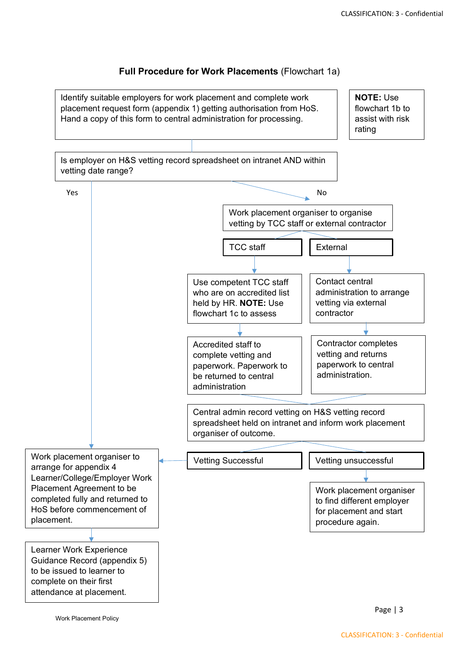## **Full Procedure for Work Placements** (Flowchart 1a)

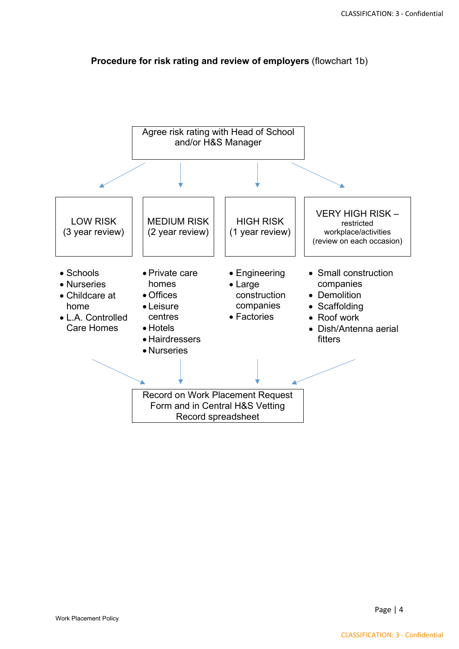

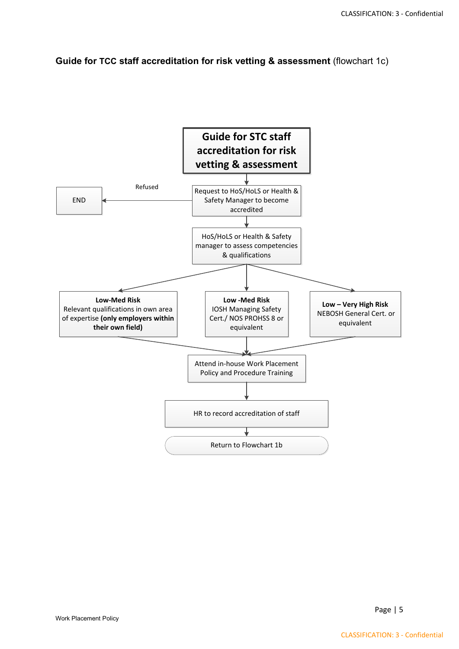**Guide for TCC staff accreditation for risk vetting & assessment** (flowchart 1c)

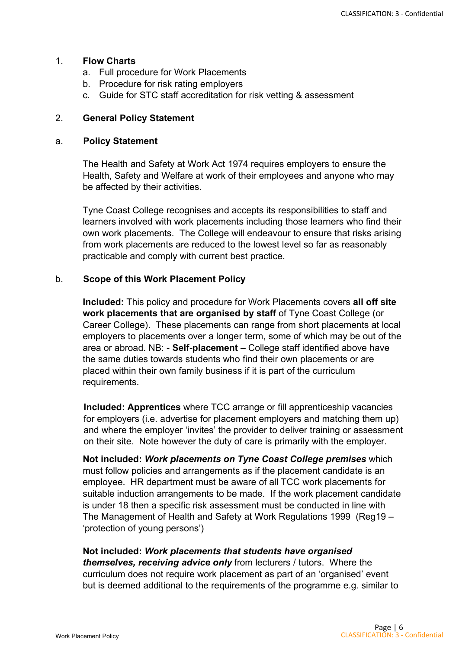#### 1. **Flow Charts**

- a. Full procedure for Work Placements
- b. Procedure for risk rating employers
- c. Guide for STC staff accreditation for risk vetting & assessment

# 2. **General Policy Statement**

#### a. **Policy Statement**

The Health and Safety at Work Act 1974 requires employers to ensure the Health, Safety and Welfare at work of their employees and anyone who may be affected by their activities.

Tyne Coast College recognises and accepts its responsibilities to staff and learners involved with work placements including those learners who find their own work placements. The College will endeavour to ensure that risks arising from work placements are reduced to the lowest level so far as reasonably practicable and comply with current best practice.

# b. **Scope of this Work Placement Policy**

**Included:** This policy and procedure for Work Placements covers **all off site work placements that are organised by staff** of Tyne Coast College (or Career College). These placements can range from short placements at local employers to placements over a longer term, some of which may be out of the area or abroad. NB: - **Self-placement –** College staff identified above have the same duties towards students who find their own placements or are placed within their own family business if it is part of the curriculum requirements.

**Included: Apprentices** where TCC arrange or fill apprenticeship vacancies for employers (i.e. advertise for placement employers and matching them up) and where the employer 'invites' the provider to deliver training or assessment on their site. Note however the duty of care is primarily with the employer.

**Not included:** *Work placements on Tyne Coast College premises* which must follow policies and arrangements as if the placement candidate is an employee. HR department must be aware of all TCC work placements for suitable induction arrangements to be made. If the work placement candidate is under 18 then a specific risk assessment must be conducted in line with The Management of Health and Safety at Work Regulations 1999 (Reg19 – 'protection of young persons')

#### **Not included:** *Work placements that students have organised*

*themselves, receiving advice only* from lecturers / tutors. Where the curriculum does not require work placement as part of an 'organised' event but is deemed additional to the requirements of the programme e.g. similar to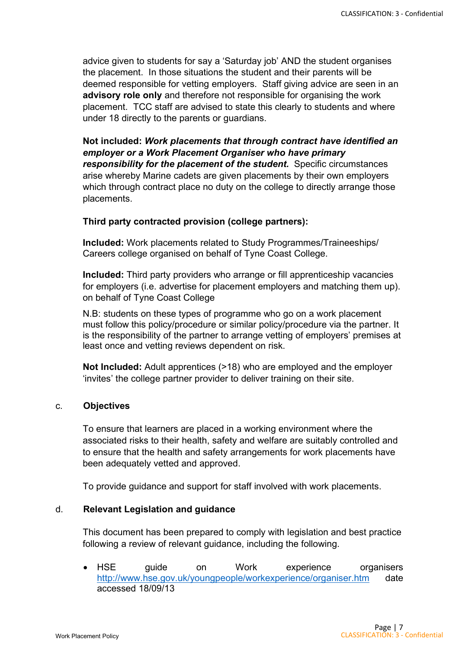advice given to students for say a 'Saturday job' AND the student organises the placement. In those situations the student and their parents will be deemed responsible for vetting employers. Staff giving advice are seen in an **advisory role only** and therefore not responsible for organising the work placement. TCC staff are advised to state this clearly to students and where under 18 directly to the parents or guardians.

**Not included:** *Work placements that through contract have identified an employer or a Work Placement Organiser who have primary responsibility for the placement of the student.* Specific circumstances arise whereby Marine cadets are given placements by their own employers which through contract place no duty on the college to directly arrange those placements.

#### **Third party contracted provision (college partners):**

**Included:** Work placements related to Study Programmes/Traineeships/ Careers college organised on behalf of Tyne Coast College.

**Included:** Third party providers who arrange or fill apprenticeship vacancies for employers (i.e. advertise for placement employers and matching them up). on behalf of Tyne Coast College

N.B: students on these types of programme who go on a work placement must follow this policy/procedure or similar policy/procedure via the partner. It is the responsibility of the partner to arrange vetting of employers' premises at least once and vetting reviews dependent on risk.

**Not Included:** Adult apprentices (>18) who are employed and the employer 'invites' the college partner provider to deliver training on their site.

#### c. **Objectives**

To ensure that learners are placed in a working environment where the associated risks to their health, safety and welfare are suitably controlled and to ensure that the health and safety arrangements for work placements have been adequately vetted and approved.

To provide guidance and support for staff involved with work placements.

#### d. **Relevant Legislation and guidance**

This document has been prepared to comply with legislation and best practice following a review of relevant guidance, including the following.

• HSE guide on Work experience organisers <http://www.hse.gov.uk/youngpeople/workexperience/organiser.htm> date accessed 18/09/13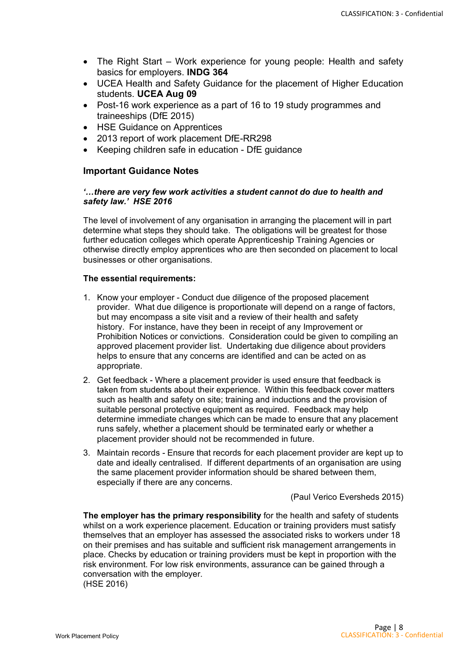- The Right Start Work experience for young people: Health and safety basics for employers. **INDG 364**
- UCEA Health and Safety Guidance for the placement of Higher Education students. **UCEA Aug 09**
- Post-16 work experience as a part of 16 to 19 study programmes and traineeships (DfE 2015)
- HSE Guidance on Apprentices
- 2013 report of work placement DfE-RR298
- Keeping children safe in education DfE guidance

# **Important Guidance Notes**

#### *'…there are very few work activities a student cannot do due to health and safety law.' HSE 2016*

The level of involvement of any organisation in arranging the placement will in part determine what steps they should take. The obligations will be greatest for those further education colleges which operate Apprenticeship Training Agencies or otherwise directly employ apprentices who are then seconded on placement to local businesses or other organisations.

#### **The essential requirements:**

- 1. Know your employer Conduct due diligence of the proposed placement provider. What due diligence is proportionate will depend on a range of factors, but may encompass a site visit and a review of their health and safety history. For instance, have they been in receipt of any Improvement or Prohibition Notices or convictions. Consideration could be given to compiling an approved placement provider list. Undertaking due diligence about providers helps to ensure that any concerns are identified and can be acted on as appropriate.
- 2. Get feedback Where a placement provider is used ensure that feedback is taken from students about their experience. Within this feedback cover matters such as health and safety on site; training and inductions and the provision of suitable personal protective equipment as required. Feedback may help determine immediate changes which can be made to ensure that any placement runs safely, whether a placement should be terminated early or whether a placement provider should not be recommended in future.
- 3. Maintain records Ensure that records for each placement provider are kept up to date and ideally centralised. If different departments of an organisation are using the same placement provider information should be shared between them, especially if there are any concerns.

(Paul Verico Eversheds 2015)

**The employer has the primary responsibility** for the health and safety of students whilst on a work experience placement. Education or training providers must satisfy themselves that an employer has assessed the associated risks to workers under 18 on their premises and has suitable and sufficient risk management arrangements in place. Checks by education or training providers must be kept in proportion with the risk environment. For low risk environments, assurance can be gained through a conversation with the employer. (HSE 2016)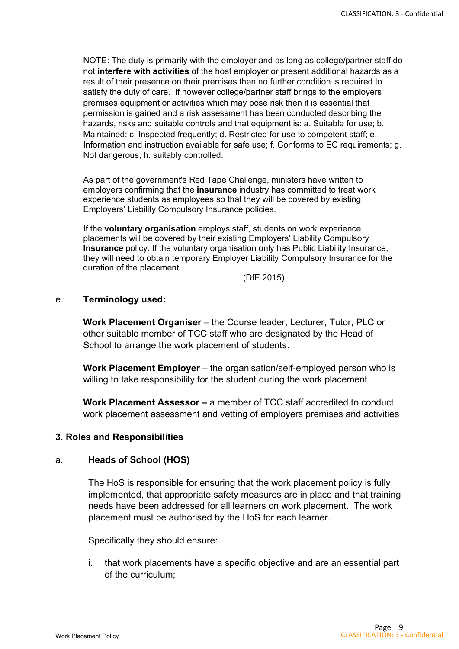NOTE: The duty is primarily with the employer and as long as college/partner staff do not **interfere with activities** of the host employer or present additional hazards as a result of their presence on their premises then no further condition is required to satisfy the duty of care. If however college/partner staff brings to the employers premises equipment or activities which may pose risk then it is essential that permission is gained and a risk assessment has been conducted describing the hazards, risks and suitable controls and that equipment is: a. Suitable for use; b. Maintained; c. Inspected frequently; d. Restricted for use to competent staff; e. Information and instruction available for safe use; f. Conforms to EC requirements; g. Not dangerous; h. suitably controlled.

As part of the government's Red Tape Challenge, ministers have written to employers confirming that the **insurance** industry has committed to treat work experience students as employees so that they will be covered by existing Employers' Liability Compulsory Insurance policies.

If the **voluntary organisation** employs staff, students on work experience placements will be covered by their existing Employers' Liability Compulsory **Insurance** policy. If the voluntary organisation only has Public Liability Insurance, they will need to obtain temporary Employer Liability Compulsory Insurance for the duration of the placement.

(DfE 2015)

#### e. **Terminology used:**

**Work Placement Organiser** – the Course leader, Lecturer, Tutor, PLC or other suitable member of TCC staff who are designated by the Head of School to arrange the work placement of students.

**Work Placement Employer** – the organisation/self-employed person who is willing to take responsibility for the student during the work placement

**Work Placement Assessor –** a member of TCC staff accredited to conduct work placement assessment and vetting of employers premises and activities

#### **3. Roles and Responsibilities**

# a. **Heads of School (HOS)**

The HoS is responsible for ensuring that the work placement policy is fully implemented, that appropriate safety measures are in place and that training needs have been addressed for all learners on work placement. The work placement must be authorised by the HoS for each learner.

Specifically they should ensure:

i. that work placements have a specific objective and are an essential part of the curriculum;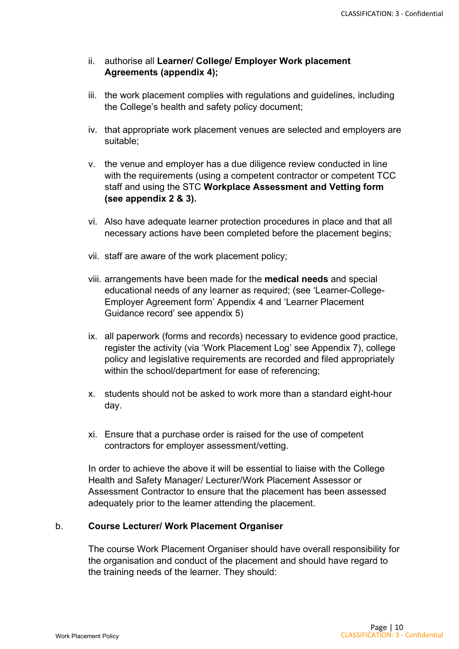# ii. authorise all **Learner/ College/ Employer Work placement Agreements (appendix 4);**

- iii. the work placement complies with regulations and guidelines, including the College's health and safety policy document;
- iv. that appropriate work placement venues are selected and employers are suitable;
- v. the venue and employer has a due diligence review conducted in line with the requirements (using a competent contractor or competent TCC staff and using the STC **Workplace Assessment and Vetting form (see appendix 2 & 3).**
- vi. Also have adequate learner protection procedures in place and that all necessary actions have been completed before the placement begins;
- vii. staff are aware of the work placement policy;
- viii. arrangements have been made for the **medical needs** and special educational needs of any learner as required; (see 'Learner-College-Employer Agreement form' Appendix 4 and 'Learner Placement Guidance record' see appendix 5)
- ix. all paperwork (forms and records) necessary to evidence good practice, register the activity (via 'Work Placement Log' see Appendix 7), college policy and legislative requirements are recorded and filed appropriately within the school/department for ease of referencing;
- x. students should not be asked to work more than a standard eight-hour day.
- xi. Ensure that a purchase order is raised for the use of competent contractors for employer assessment/vetting.

In order to achieve the above it will be essential to liaise with the College Health and Safety Manager/ Lecturer/Work Placement Assessor or Assessment Contractor to ensure that the placement has been assessed adequately prior to the learner attending the placement.

# b. **Course Lecturer/ Work Placement Organiser**

The course Work Placement Organiser should have overall responsibility for the organisation and conduct of the placement and should have regard to the training needs of the learner. They should: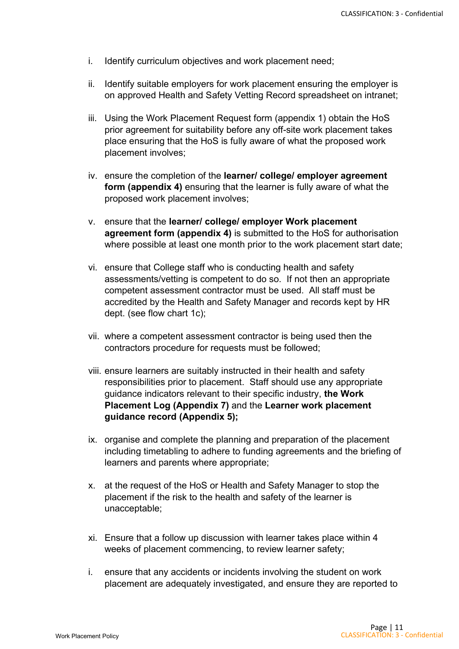- i. Identify curriculum objectives and work placement need;
- ii. Identify suitable employers for work placement ensuring the employer is on approved Health and Safety Vetting Record spreadsheet on intranet;
- iii. Using the Work Placement Request form (appendix 1) obtain the HoS prior agreement for suitability before any off-site work placement takes place ensuring that the HoS is fully aware of what the proposed work placement involves;
- iv. ensure the completion of the **learner/ college/ employer agreement form (appendix 4)** ensuring that the learner is fully aware of what the proposed work placement involves;
- v. ensure that the **learner/ college/ employer Work placement agreement form (appendix 4)** is submitted to the HoS for authorisation where possible at least one month prior to the work placement start date;
- vi. ensure that College staff who is conducting health and safety assessments/vetting is competent to do so. If not then an appropriate competent assessment contractor must be used. All staff must be accredited by the Health and Safety Manager and records kept by HR dept. (see flow chart 1c);
- vii. where a competent assessment contractor is being used then the contractors procedure for requests must be followed;
- viii. ensure learners are suitably instructed in their health and safety responsibilities prior to placement. Staff should use any appropriate guidance indicators relevant to their specific industry, **the Work Placement Log (Appendix 7)** and the **Learner work placement guidance record (Appendix 5);**
- ix. organise and complete the planning and preparation of the placement including timetabling to adhere to funding agreements and the briefing of learners and parents where appropriate;
- x. at the request of the HoS or Health and Safety Manager to stop the placement if the risk to the health and safety of the learner is unacceptable;
- xi. Ensure that a follow up discussion with learner takes place within 4 weeks of placement commencing, to review learner safety;
- i. ensure that any accidents or incidents involving the student on work placement are adequately investigated, and ensure they are reported to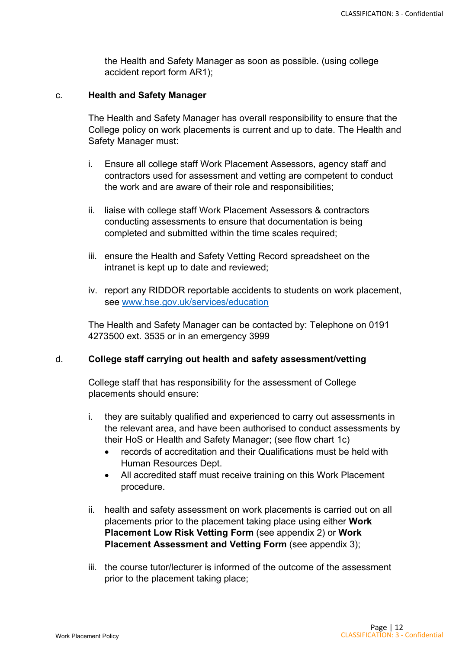the Health and Safety Manager as soon as possible. (using college accident report form AR1);

#### c. **Health and Safety Manager**

The Health and Safety Manager has overall responsibility to ensure that the College policy on work placements is current and up to date. The Health and Safety Manager must:

- i. Ensure all college staff Work Placement Assessors, agency staff and contractors used for assessment and vetting are competent to conduct the work and are aware of their role and responsibilities;
- ii. liaise with college staff Work Placement Assessors & contractors conducting assessments to ensure that documentation is being completed and submitted within the time scales required;
- iii. ensure the Health and Safety Vetting Record spreadsheet on the intranet is kept up to date and reviewed;
- iv. report any RIDDOR reportable accidents to students on work placement, see [www.hse.gov.uk/services/education](http://www.hse.gov.uk/services/education)

The Health and Safety Manager can be contacted by: Telephone on 0191 4273500 ext. 3535 or in an emergency 3999

#### d. **College staff carrying out health and safety assessment/vetting**

College staff that has responsibility for the assessment of College placements should ensure:

- i. they are suitably qualified and experienced to carry out assessments in the relevant area, and have been authorised to conduct assessments by their HoS or Health and Safety Manager; (see flow chart 1c)
	- records of accreditation and their Qualifications must be held with Human Resources Dept.
	- All accredited staff must receive training on this Work Placement procedure.
- ii. health and safety assessment on work placements is carried out on all placements prior to the placement taking place using either **Work Placement Low Risk Vetting Form** (see appendix 2) or **Work Placement Assessment and Vetting Form** (see appendix 3);
- iii. the course tutor/lecturer is informed of the outcome of the assessment prior to the placement taking place;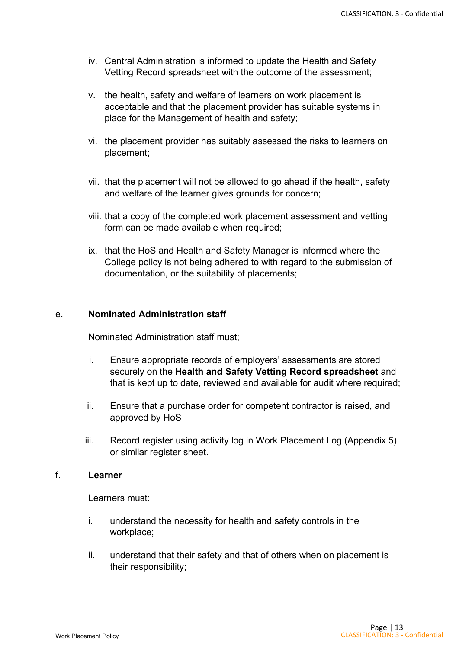- iv. Central Administration is informed to update the Health and Safety Vetting Record spreadsheet with the outcome of the assessment;
- v. the health, safety and welfare of learners on work placement is acceptable and that the placement provider has suitable systems in place for the Management of health and safety;
- vi. the placement provider has suitably assessed the risks to learners on placement;
- vii. that the placement will not be allowed to go ahead if the health, safety and welfare of the learner gives grounds for concern;
- viii. that a copy of the completed work placement assessment and vetting form can be made available when required;
- ix. that the HoS and Health and Safety Manager is informed where the College policy is not being adhered to with regard to the submission of documentation, or the suitability of placements;

#### e. **Nominated Administration staff**

Nominated Administration staff must;

- i. Ensure appropriate records of employers' assessments are stored securely on the **Health and Safety Vetting Record spreadsheet** and that is kept up to date, reviewed and available for audit where required;
- ii. Ensure that a purchase order for competent contractor is raised, and approved by HoS
- iii. Record register using activity log in Work Placement Log (Appendix 5) or similar register sheet.

#### f. **Learner**

Learners must:

- i. understand the necessity for health and safety controls in the workplace;
- ii. understand that their safety and that of others when on placement is their responsibility;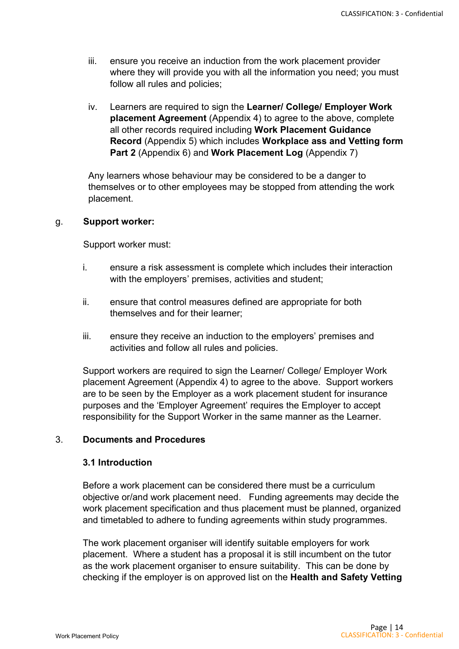- iii. ensure you receive an induction from the work placement provider where they will provide you with all the information you need; you must follow all rules and policies;
- iv. Learners are required to sign the **Learner/ College/ Employer Work placement Agreement** (Appendix 4) to agree to the above, complete all other records required including **Work Placement Guidance Record** (Appendix 5) which includes **Workplace ass and Vetting form Part 2** (Appendix 6) and **Work Placement Log** (Appendix 7)

Any learners whose behaviour may be considered to be a danger to themselves or to other employees may be stopped from attending the work placement.

#### g. **Support worker:**

Support worker must:

- i. ensure a risk assessment is complete which includes their interaction with the employers' premises, activities and student;
- ii. ensure that control measures defined are appropriate for both themselves and for their learner;
- iii. ensure they receive an induction to the employers' premises and activities and follow all rules and policies.

Support workers are required to sign the Learner/ College/ Employer Work placement Agreement (Appendix 4) to agree to the above. Support workers are to be seen by the Employer as a work placement student for insurance purposes and the 'Employer Agreement' requires the Employer to accept responsibility for the Support Worker in the same manner as the Learner.

## 3. **Documents and Procedures**

#### **3.1 Introduction**

Before a work placement can be considered there must be a curriculum objective or/and work placement need. Funding agreements may decide the work placement specification and thus placement must be planned, organized and timetabled to adhere to funding agreements within study programmes.

The work placement organiser will identify suitable employers for work placement. Where a student has a proposal it is still incumbent on the tutor as the work placement organiser to ensure suitability. This can be done by checking if the employer is on approved list on the **Health and Safety Vetting**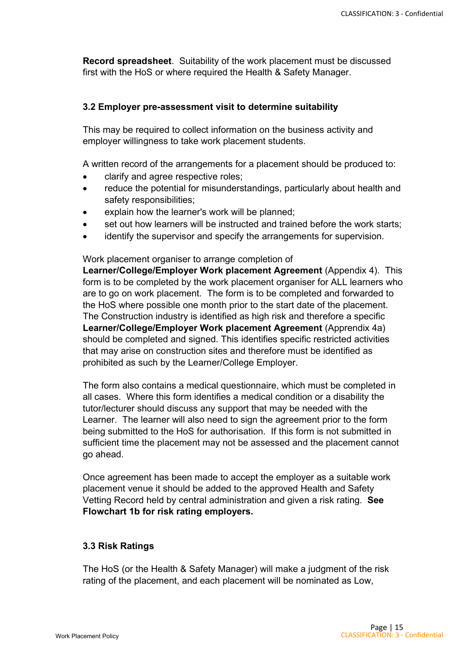**Record spreadsheet**. Suitability of the work placement must be discussed first with the HoS or where required the Health & Safety Manager.

## **3.2 Employer pre-assessment visit to determine suitability**

This may be required to collect information on the business activity and employer willingness to take work placement students.

A written record of the arrangements for a placement should be produced to:

- clarify and agree respective roles;
- reduce the potential for misunderstandings, particularly about health and safety responsibilities;
- explain how the learner's work will be planned:
- set out how learners will be instructed and trained before the work starts;
- identify the supervisor and specify the arrangements for supervision.

Work placement organiser to arrange completion of

**Learner/College/Employer Work placement Agreement** (Appendix 4). This form is to be completed by the work placement organiser for ALL learners who are to go on work placement. The form is to be completed and forwarded to the HoS where possible one month prior to the start date of the placement. The Construction industry is identified as high risk and therefore a specific **Learner/College/Employer Work placement Agreement** (Apprendix 4a) should be completed and signed. This identifies specific restricted activities that may arise on construction sites and therefore must be identified as prohibited as such by the Learner/College Employer.

The form also contains a medical questionnaire, which must be completed in all cases. Where this form identifies a medical condition or a disability the tutor/lecturer should discuss any support that may be needed with the Learner. The learner will also need to sign the agreement prior to the form being submitted to the HoS for authorisation. If this form is not submitted in sufficient time the placement may not be assessed and the placement cannot go ahead.

Once agreement has been made to accept the employer as a suitable work placement venue it should be added to the approved Health and Safety Vetting Record held by central administration and given a risk rating. **See Flowchart 1b for risk rating employers.**

## **3.3 Risk Ratings**

The HoS (or the Health & Safety Manager) will make a judgment of the risk rating of the placement, and each placement will be nominated as Low,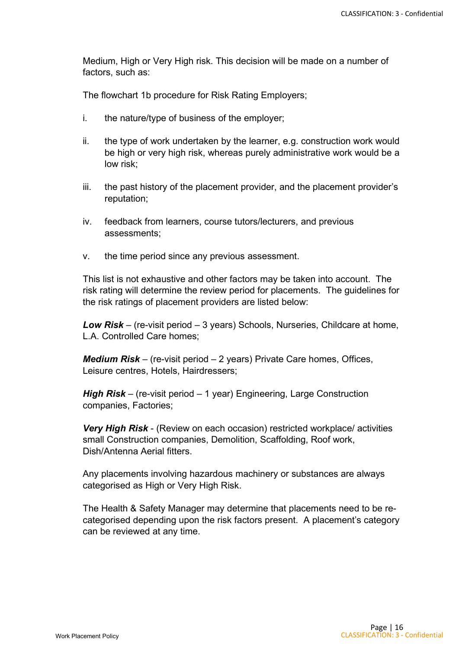Medium, High or Very High risk. This decision will be made on a number of factors, such as:

The flowchart 1b procedure for Risk Rating Employers;

- i. the nature/type of business of the employer;
- ii. the type of work undertaken by the learner, e.g. construction work would be high or very high risk, whereas purely administrative work would be a low risk;
- iii. the past history of the placement provider, and the placement provider's reputation;
- iv. feedback from learners, course tutors/lecturers, and previous assessments;
- v. the time period since any previous assessment.

This list is not exhaustive and other factors may be taken into account. The risk rating will determine the review period for placements. The guidelines for the risk ratings of placement providers are listed below:

*Low Risk* – (re-visit period – 3 years) Schools, Nurseries, Childcare at home, L.A. Controlled Care homes;

*Medium Risk* – (re-visit period – 2 years) Private Care homes, Offices, Leisure centres, Hotels, Hairdressers;

*High Risk* – (re-visit period – 1 year) Engineering, Large Construction companies, Factories;

*Very High Risk* - (Review on each occasion) restricted workplace/ activities small Construction companies, Demolition, Scaffolding, Roof work, Dish/Antenna Aerial fitters.

Any placements involving hazardous machinery or substances are always categorised as High or Very High Risk.

The Health & Safety Manager may determine that placements need to be recategorised depending upon the risk factors present. A placement's category can be reviewed at any time.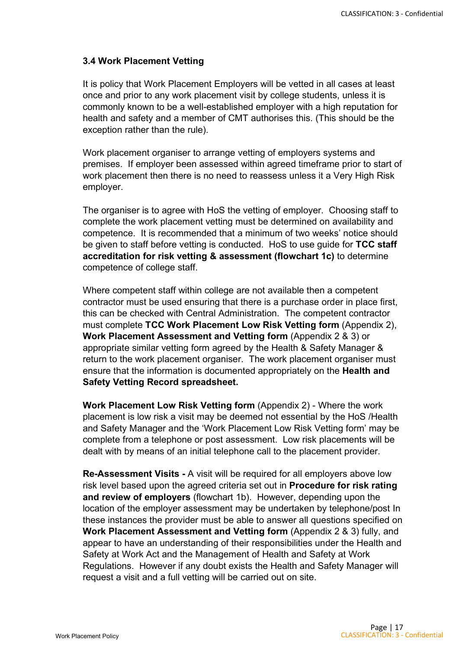#### **3.4 Work Placement Vetting**

It is policy that Work Placement Employers will be vetted in all cases at least once and prior to any work placement visit by college students, unless it is commonly known to be a well-established employer with a high reputation for health and safety and a member of CMT authorises this. (This should be the exception rather than the rule).

Work placement organiser to arrange vetting of employers systems and premises. If employer been assessed within agreed timeframe prior to start of work placement then there is no need to reassess unless it a Very High Risk employer.

The organiser is to agree with HoS the vetting of employer. Choosing staff to complete the work placement vetting must be determined on availability and competence. It is recommended that a minimum of two weeks' notice should be given to staff before vetting is conducted. HoS to use guide for **TCC staff accreditation for risk vetting & assessment (flowchart 1c)** to determine competence of college staff.

Where competent staff within college are not available then a competent contractor must be used ensuring that there is a purchase order in place first, this can be checked with Central Administration. The competent contractor must complete **TCC Work Placement Low Risk Vetting form** (Appendix 2), **Work Placement Assessment and Vetting form** (Appendix 2 & 3) or appropriate similar vetting form agreed by the Health & Safety Manager & return to the work placement organiser. The work placement organiser must ensure that the information is documented appropriately on the **Health and Safety Vetting Record spreadsheet.**

**Work Placement Low Risk Vetting form** (Appendix 2) - Where the work placement is low risk a visit may be deemed not essential by the HoS /Health and Safety Manager and the 'Work Placement Low Risk Vetting form' may be complete from a telephone or post assessment. Low risk placements will be dealt with by means of an initial telephone call to the placement provider.

**Re-Assessment Visits -** A visit will be required for all employers above low risk level based upon the agreed criteria set out in **Procedure for risk rating and review of employers** (flowchart 1b). However, depending upon the location of the employer assessment may be undertaken by telephone/post In these instances the provider must be able to answer all questions specified on **Work Placement Assessment and Vetting form** (Appendix 2 & 3) fully, and appear to have an understanding of their responsibilities under the Health and Safety at Work Act and the Management of Health and Safety at Work Regulations. However if any doubt exists the Health and Safety Manager will request a visit and a full vetting will be carried out on site.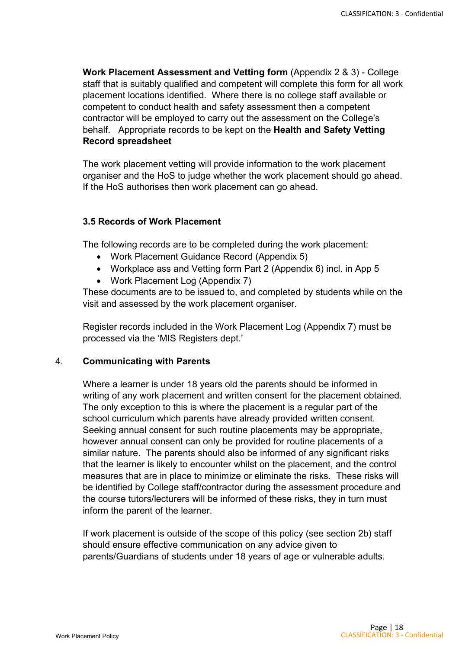**Work Placement Assessment and Vetting form** (Appendix 2 & 3) - College staff that is suitably qualified and competent will complete this form for all work placement locations identified. Where there is no college staff available or competent to conduct health and safety assessment then a competent contractor will be employed to carry out the assessment on the College's behalf. Appropriate records to be kept on the **Health and Safety Vetting Record spreadsheet**

The work placement vetting will provide information to the work placement organiser and the HoS to judge whether the work placement should go ahead. If the HoS authorises then work placement can go ahead.

#### **3.5 Records of Work Placement**

The following records are to be completed during the work placement:

- Work Placement Guidance Record (Appendix 5)
- Workplace ass and Vetting form Part 2 (Appendix 6) incl. in App 5
- Work Placement Log (Appendix 7)

These documents are to be issued to, and completed by students while on the visit and assessed by the work placement organiser.

Register records included in the Work Placement Log (Appendix 7) must be processed via the 'MIS Registers dept.'

# 4. **Communicating with Parents**

Where a learner is under 18 years old the parents should be informed in writing of any work placement and written consent for the placement obtained. The only exception to this is where the placement is a regular part of the school curriculum which parents have already provided written consent. Seeking annual consent for such routine placements may be appropriate, however annual consent can only be provided for routine placements of a similar nature. The parents should also be informed of any significant risks that the learner is likely to encounter whilst on the placement, and the control measures that are in place to minimize or eliminate the risks. These risks will be identified by College staff/contractor during the assessment procedure and the course tutors/lecturers will be informed of these risks, they in turn must inform the parent of the learner.

If work placement is outside of the scope of this policy (see section 2b) staff should ensure effective communication on any advice given to parents/Guardians of students under 18 years of age or vulnerable adults.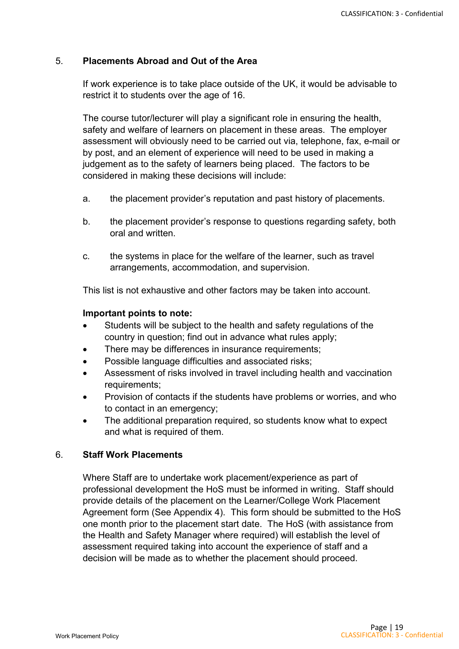# 5. **Placements Abroad and Out of the Area**

If work experience is to take place outside of the UK, it would be advisable to restrict it to students over the age of 16.

The course tutor/lecturer will play a significant role in ensuring the health, safety and welfare of learners on placement in these areas. The employer assessment will obviously need to be carried out via, telephone, fax, e-mail or by post, and an element of experience will need to be used in making a judgement as to the safety of learners being placed. The factors to be considered in making these decisions will include:

- a. the placement provider's reputation and past history of placements.
- b. the placement provider's response to questions regarding safety, both oral and written.
- c. the systems in place for the welfare of the learner, such as travel arrangements, accommodation, and supervision.

This list is not exhaustive and other factors may be taken into account.

#### **Important points to note:**

- Students will be subject to the health and safety regulations of the country in question; find out in advance what rules apply;
- There may be differences in insurance requirements;
- Possible language difficulties and associated risks;
- Assessment of risks involved in travel including health and vaccination requirements;
- Provision of contacts if the students have problems or worries, and who to contact in an emergency;
- The additional preparation required, so students know what to expect and what is required of them.

#### 6. **Staff Work Placements**

Where Staff are to undertake work placement/experience as part of professional development the HoS must be informed in writing. Staff should provide details of the placement on the Learner/College Work Placement Agreement form (See Appendix 4). This form should be submitted to the HoS one month prior to the placement start date. The HoS (with assistance from the Health and Safety Manager where required) will establish the level of assessment required taking into account the experience of staff and a decision will be made as to whether the placement should proceed.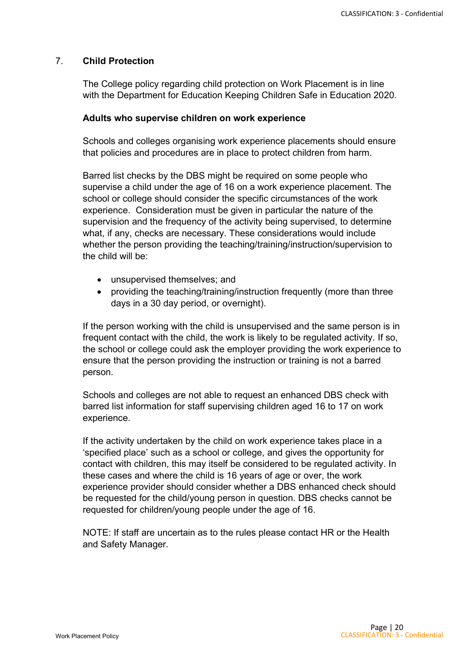# 7. **Child Protection**

The College policy regarding child protection on Work Placement is in line with the Department for Education Keeping Children Safe in Education 2020.

#### **Adults who supervise children on work experience**

Schools and colleges organising work experience placements should ensure that policies and procedures are in place to protect children from harm.

Barred list checks by the DBS might be required on some people who supervise a child under the age of 16 on a work experience placement. The school or college should consider the specific circumstances of the work experience. Consideration must be given in particular the nature of the supervision and the frequency of the activity being supervised, to determine what, if any, checks are necessary. These considerations would include whether the person providing the teaching/training/instruction/supervision to the child will be:

- unsupervised themselves; and
- providing the teaching/training/instruction frequently (more than three days in a 30 day period, or overnight).

If the person working with the child is unsupervised and the same person is in frequent contact with the child, the work is likely to be regulated activity. If so, the school or college could ask the employer providing the work experience to ensure that the person providing the instruction or training is not a barred person.

Schools and colleges are not able to request an enhanced DBS check with barred list information for staff supervising children aged 16 to 17 on work experience.

If the activity undertaken by the child on work experience takes place in a 'specified place' such as a school or college, and gives the opportunity for contact with children, this may itself be considered to be regulated activity. In these cases and where the child is 16 years of age or over, the work experience provider should consider whether a DBS enhanced check should be requested for the child/young person in question. DBS checks cannot be requested for children/young people under the age of 16.

NOTE: If staff are uncertain as to the rules please contact HR or the Health and Safety Manager.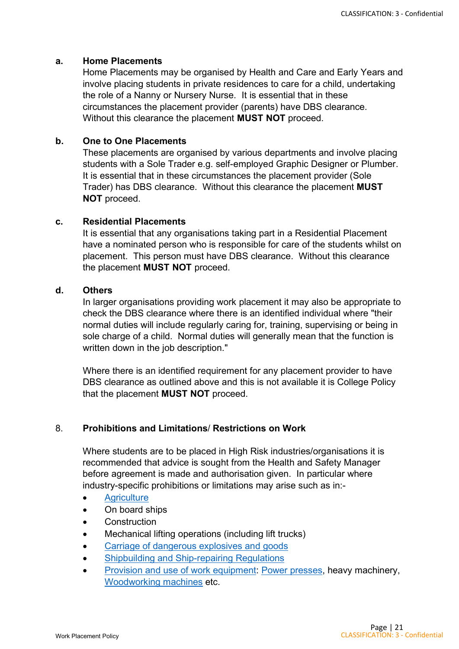#### **a. Home Placements**

Home Placements may be organised by Health and Care and Early Years and involve placing students in private residences to care for a child, undertaking the role of a Nanny or Nursery Nurse. It is essential that in these circumstances the placement provider (parents) have DBS clearance. Without this clearance the placement **MUST NOT** proceed.

# **b. One to One Placements**

These placements are organised by various departments and involve placing students with a Sole Trader e.g. self-employed Graphic Designer or Plumber. It is essential that in these circumstances the placement provider (Sole Trader) has DBS clearance. Without this clearance the placement **MUST NOT** proceed.

#### **c. Residential Placements**

It is essential that any organisations taking part in a Residential Placement have a nominated person who is responsible for care of the students whilst on placement. This person must have DBS clearance. Without this clearance the placement **MUST NOT** proceed.

## **d. Others**

In larger organisations providing work placement it may also be appropriate to check the DBS clearance where there is an identified individual where "their normal duties will include regularly caring for, training, supervising or being in sole charge of a child. Normal duties will generally mean that the function is written down in the job description."

Where there is an identified requirement for any placement provider to have DBS clearance as outlined above and this is not available it is College Policy that the placement **MUST NOT** proceed.

# 8. **Prohibitions and Limitations**/ **Restrictions on Work**

Where students are to be placed in High Risk industries/organisations it is recommended that advice is sought from the Health and Safety Manager before agreement is made and authorisation given. In particular where industry-specific prohibitions or limitations may arise such as in:-

- **[Agriculture](http://www.hse.gov.uk/youngpeople/law/prohibitions/puwer.htm)**
- On board ships
- Construction
- Mechanical lifting operations (including lift trucks)
- [Carriage of dangerous explosives and goods](http://www.hse.gov.uk/youngpeople/law/prohibitions/cdg.htm)
- [Shipbuilding and Ship-repairing Regulations](http://www.hse.gov.uk/youngpeople/law/prohibitions/ship.htm)
- [Provision and use of work equipment:](http://www.stc.ac.uk/) [Power presses,](http://www.hse.gov.uk/youngpeople/law/prohibitions/presses.htm) heavy machinery, [Woodworking machines](http://www.hse.gov.uk/youngpeople/law/prohibitions/woodworking.htm) etc.